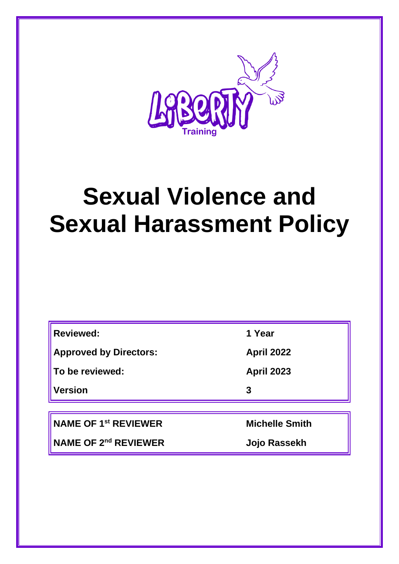

# **Sexual Violence and Sexual Harassment Policy**

| <b>Reviewed:</b>                 | 1 Year                |
|----------------------------------|-----------------------|
| <b>Approved by Directors:</b>    | <b>April 2022</b>     |
| To be reviewed:                  | <b>April 2023</b>     |
| Version                          | 3                     |
|                                  |                       |
| NAME OF 1 <sup>st</sup> REVIEWER | <b>Michelle Smith</b> |
| NAME OF 2 <sup>nd</sup> REVIEWER | Jojo Rassekh          |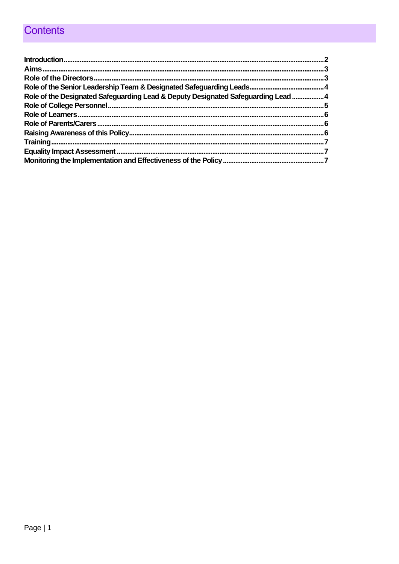# Contents

| Role of the Designated Safeguarding Lead & Deputy Designated Safeguarding Lead4 |  |
|---------------------------------------------------------------------------------|--|
|                                                                                 |  |
|                                                                                 |  |
|                                                                                 |  |
|                                                                                 |  |
|                                                                                 |  |
|                                                                                 |  |
|                                                                                 |  |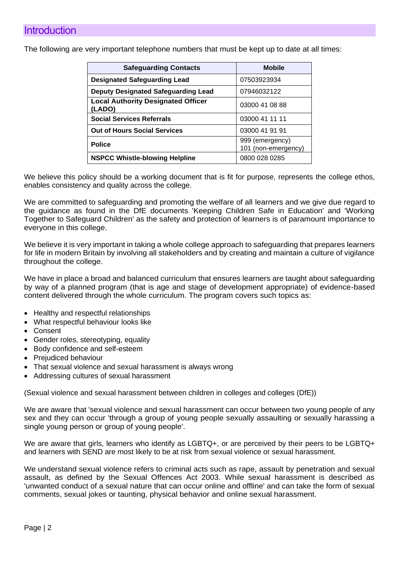<span id="page-2-0"></span>The following are very important telephone numbers that must be kept up to date at all times:

| <b>Safeguarding Contacts</b>                        | <b>Mobile</b>                          |
|-----------------------------------------------------|----------------------------------------|
| <b>Designated Safeguarding Lead</b>                 | 07503923934                            |
| <b>Deputy Designated Safeguarding Lead</b>          | 07946032122                            |
| <b>Local Authority Designated Officer</b><br>(LADO) | 03000 41 08 88                         |
| <b>Social Services Referrals</b>                    | 03000 41 11 11                         |
| <b>Out of Hours Social Services</b>                 | 03000 41 91 91                         |
| <b>Police</b>                                       | 999 (emergency)<br>101 (non-emergency) |
| <b>NSPCC Whistle-blowing Helpline</b>               | 0800 028 0285                          |

We believe this policy should be a working document that is fit for purpose, represents the college ethos, enables consistency and quality across the college.

We are committed to safeguarding and promoting the welfare of all learners and we give due regard to the guidance as found in the DfE documents 'Keeping Children Safe in Education' and 'Working Together to Safeguard Children' as the safety and protection of learners is of paramount importance to everyone in this college.

We believe it is very important in taking a whole college approach to safeguarding that prepares learners for life in modern Britain by involving all stakeholders and by creating and maintain a culture of vigilance throughout the college.

We have in place a broad and balanced curriculum that ensures learners are taught about safeguarding by way of a planned program (that is age and stage of development appropriate) of evidence-based content delivered through the whole curriculum. The program covers such topics as:

- Healthy and respectful relationships
- What respectful behaviour looks like
- **Consent**
- Gender roles, stereotyping, equality
- Body confidence and self-esteem
- Prejudiced behaviour
- That sexual violence and sexual harassment is always wrong
- Addressing cultures of sexual harassment

(Sexual violence and sexual harassment between children in colleges and colleges (DfE))

We are aware that 'sexual violence and sexual harassment can occur between two young people of any sex and they can occur 'through a group of young people sexually assaulting or sexually harassing a single young person or group of young people'.

We are aware that girls, learners who identify as LGBTQ+, or are perceived by their peers to be LGBTQ+ and learners with SEND are most likely to be at risk from sexual violence or sexual harassment.

We understand sexual violence refers to criminal acts such as rape, assault by penetration and sexual assault, as defined by the Sexual Offences Act 2003. While sexual harassment is described as 'unwanted conduct of a sexual nature that can occur online and offline' and can take the form of sexual comments, sexual jokes or taunting, physical behavior and online sexual harassment.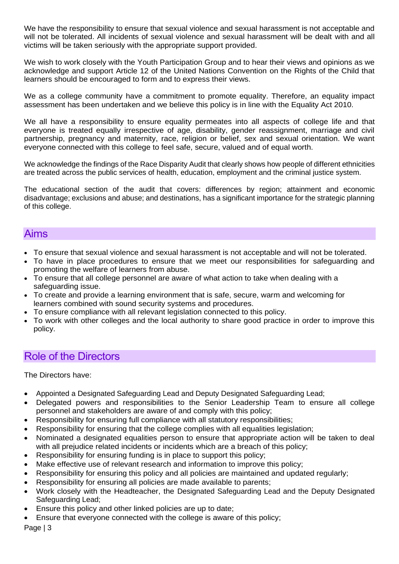We have the responsibility to ensure that sexual violence and sexual harassment is not acceptable and will not be tolerated. All incidents of sexual violence and sexual harassment will be dealt with and all victims will be taken seriously with the appropriate support provided.

We wish to work closely with the Youth Participation Group and to hear their views and opinions as we acknowledge and support Article 12 of the United Nations Convention on the Rights of the Child that learners should be encouraged to form and to express their views.

We as a college community have a commitment to promote equality. Therefore, an equality impact assessment has been undertaken and we believe this policy is in line with the Equality Act 2010.

We all have a responsibility to ensure equality permeates into all aspects of college life and that everyone is treated equally irrespective of age, disability, gender reassignment, marriage and civil partnership, pregnancy and maternity, race, religion or belief, sex and sexual orientation. We want everyone connected with this college to feel safe, secure, valued and of equal worth.

We acknowledge the findings of the Race Disparity Audit that clearly shows how people of different ethnicities are treated across the public services of health, education, employment and the criminal justice system.

The educational section of the audit that covers: differences by region; attainment and economic disadvantage; exclusions and abuse; and destinations, has a significant importance for the strategic planning of this college.

#### <span id="page-3-0"></span>Aims

- To ensure that sexual violence and sexual harassment is not acceptable and will not be tolerated.
- To have in place procedures to ensure that we meet our responsibilities for safeguarding and promoting the welfare of learners from abuse.
- To ensure that all college personnel are aware of what action to take when dealing with a safeguarding issue.
- To create and provide a learning environment that is safe, secure, warm and welcoming for learners combined with sound security systems and procedures.
- To ensure compliance with all relevant legislation connected to this policy.
- To work with other colleges and the local authority to share good practice in order to improve this policy.

#### <span id="page-3-1"></span>Role of the Directors

The Directors have:

- Appointed a Designated Safeguarding Lead and Deputy Designated Safeguarding Lead;
- Delegated powers and responsibilities to the Senior Leadership Team to ensure all college personnel and stakeholders are aware of and comply with this policy;
- Responsibility for ensuring full compliance with all statutory responsibilities;
- Responsibility for ensuring that the college complies with all equalities legislation;
- Nominated a designated equalities person to ensure that appropriate action will be taken to deal with all prejudice related incidents or incidents which are a breach of this policy;
- Responsibility for ensuring funding is in place to support this policy;
- Make effective use of relevant research and information to improve this policy;
- Responsibility for ensuring this policy and all policies are maintained and updated regularly;
- Responsibility for ensuring all policies are made available to parents;
- Work closely with the Headteacher, the Designated Safeguarding Lead and the Deputy Designated Safeguarding Lead;
- Ensure this policy and other linked policies are up to date;
- Ensure that everyone connected with the college is aware of this policy;

Page | 3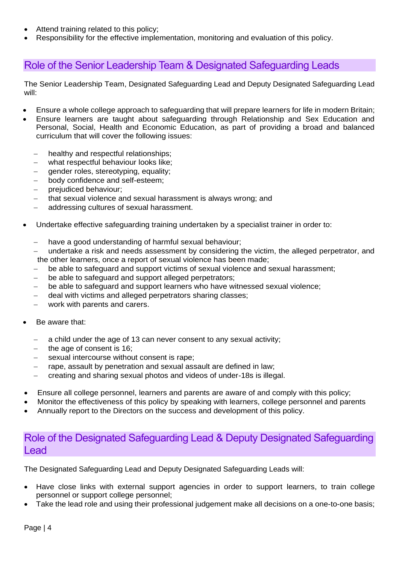- Attend training related to this policy;
- Responsibility for the effective implementation, monitoring and evaluation of this policy.

## <span id="page-4-0"></span>Role of the Senior Leadership Team & Designated Safeguarding Leads

The Senior Leadership Team, Designated Safeguarding Lead and Deputy Designated Safeguarding Lead will:

- Ensure a whole college approach to safeguarding that will prepare learners for life in modern Britain:
- Ensure learners are taught about safeguarding through Relationship and Sex Education and Personal, Social, Health and Economic Education, as part of providing a broad and balanced curriculum that will cover the following issues:
	- healthy and respectful relationships;
	- − what respectful behaviour looks like;
	- gender roles, stereotyping, equality;
	- − body confidence and self-esteem;
	- prejudiced behaviour;
	- that sexual violence and sexual harassment is always wrong; and
	- − addressing cultures of sexual harassment.
- Undertake effective safeguarding training undertaken by a specialist trainer in order to:
	- have a good understanding of harmful sexual behaviour;
	- undertake a risk and needs assessment by considering the victim, the alleged perpetrator, and the other learners, once a report of sexual violence has been made;
	- be able to safeguard and support victims of sexual violence and sexual harassment;
	- be able to safeguard and support alleged perpetrators;
	- be able to safeguard and support learners who have witnessed sexual violence;
	- deal with victims and alleged perpetrators sharing classes;
	- work with parents and carers.
- Be aware that:
	- a child under the age of 13 can never consent to any sexual activity;
	- the age of consent is 16:
	- sexual intercourse without consent is rape;
	- − rape, assault by penetration and sexual assault are defined in law;
	- − creating and sharing sexual photos and videos of under-18s is illegal.
- Ensure all college personnel, learners and parents are aware of and comply with this policy;
- Monitor the effectiveness of this policy by speaking with learners, college personnel and parents
- Annually report to the Directors on the success and development of this policy.

## <span id="page-4-1"></span>Role of the Designated Safeguarding Lead & Deputy Designated Safeguarding Lead

The Designated Safeguarding Lead and Deputy Designated Safeguarding Leads will:

- Have close links with external support agencies in order to support learners, to train college personnel or support college personnel;
- Take the lead role and using their professional judgement make all decisions on a one-to-one basis;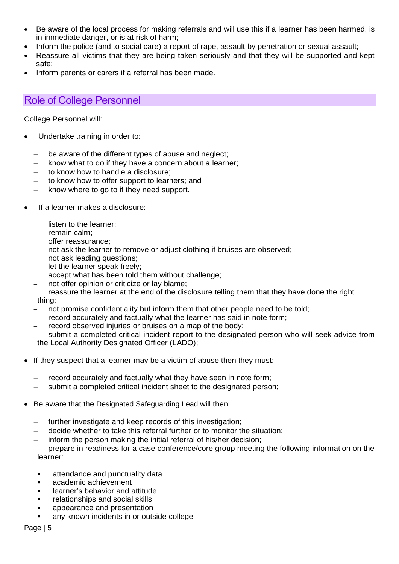- Be aware of the local process for making referrals and will use this if a learner has been harmed, is in immediate danger, or is at risk of harm;
- Inform the police (and to social care) a report of rape, assault by penetration or sexual assault;
- Reassure all victims that they are being taken seriously and that they will be supported and kept safe;
- Inform parents or carers if a referral has been made.

# <span id="page-5-0"></span>Role of College Personnel

College Personnel will:

- Undertake training in order to:
	- be aware of the different types of abuse and neglect;
	- know what to do if they have a concern about a learner;
	- − to know how to handle a disclosure;
	- to know how to offer support to learners; and
	- − know where to go to if they need support.
- If a learner makes a disclosure:
	- listen to the learner:
	- − remain calm;
	- − offer reassurance;
	- − not ask the learner to remove or adjust clothing if bruises are observed;
	- not ask leading questions;
	- − let the learner speak freely;
	- accept what has been told them without challenge;
	- not offer opinion or criticize or lay blame;

reassure the learner at the end of the disclosure telling them that they have done the right thing;

- not promise confidentiality but inform them that other people need to be told;
- record accurately and factually what the learner has said in note form;
- record observed injuries or bruises on a map of the body;
- submit a completed critical incident report to the designated person who will seek advice from the Local Authority Designated Officer (LADO);
- If they suspect that a learner may be a victim of abuse then they must:
	- record accurately and factually what they have seen in note form;
	- − submit a completed critical incident sheet to the designated person;
- Be aware that the Designated Safeguarding Lead will then:
	- further investigate and keep records of this investigation;
	- decide whether to take this referral further or to monitor the situation:
	- inform the person making the initial referral of his/her decision:

prepare in readiness for a case conference/core group meeting the following information on the learner:

- attendance and punctuality data
- academic achievement
- **EXEC** learner's behavior and attitude
- relationships and social skills
- appearance and presentation
- **any known incidents in or outside college**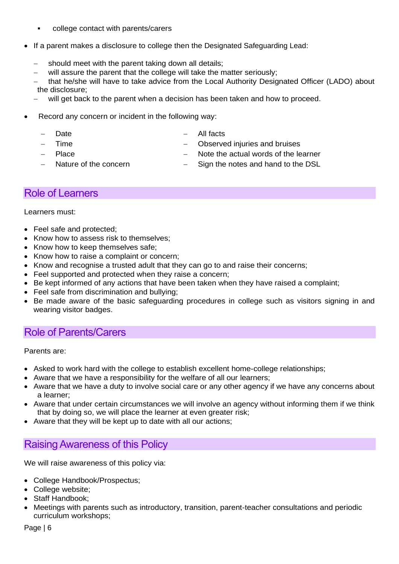- college contact with parents/carers
- If a parent makes a disclosure to college then the Designated Safeguarding Lead:
	- should meet with the parent taking down all details;
	- will assure the parent that the college will take the matter seriously;
	- that he/she will have to take advice from the Local Authority Designated Officer (LADO) about the disclosure;
	- will get back to the parent when a decision has been taken and how to proceed.
- Record any concern or incident in the following way:
	- Date

− All facts

− Time

Observed injuries and bruises

− Place

- Note the actual words of the learner
- − Nature of the concern
- Sign the notes and hand to the DSL

#### <span id="page-6-0"></span>Role of Learners

Learners must:

- Feel safe and protected;
- Know how to assess risk to themselves;
- Know how to keep themselves safe:
- Know how to raise a complaint or concern;
- Know and recognise a trusted adult that they can go to and raise their concerns;
- Feel supported and protected when they raise a concern;
- Be kept informed of any actions that have been taken when they have raised a complaint;
- Feel safe from discrimination and bullying;
- Be made aware of the basic safeguarding procedures in college such as visitors signing in and wearing visitor badges.

### <span id="page-6-1"></span>Role of Parents/Carers

Parents are:

- Asked to work hard with the college to establish excellent home-college relationships;
- Aware that we have a responsibility for the welfare of all our learners;
- Aware that we have a duty to involve social care or any other agency if we have any concerns about a learner;
- Aware that under certain circumstances we will involve an agency without informing them if we think that by doing so, we will place the learner at even greater risk;
- Aware that they will be kept up to date with all our actions;

# <span id="page-6-2"></span>Raising Awareness of this Policy

We will raise awareness of this policy via:

- College Handbook/Prospectus;
- College website;
- Staff Handbook:
- Meetings with parents such as introductory, transition, parent-teacher consultations and periodic curriculum workshops;